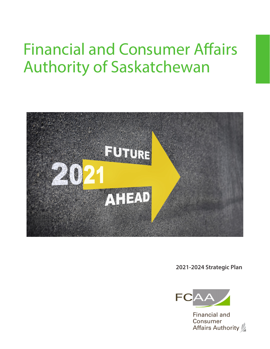# Financial and Consumer Affairs Authority of Saskatchewan



**2021-2024 Strategic Plan**



**Financial and** Consumer **Affairs Authority**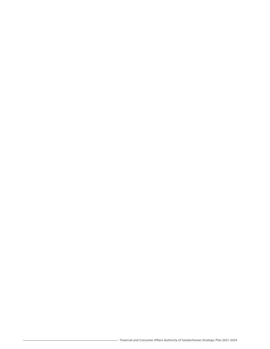Financial and Consumer Affairs Authority of Saskatchewan Strategic Plan 2021-2024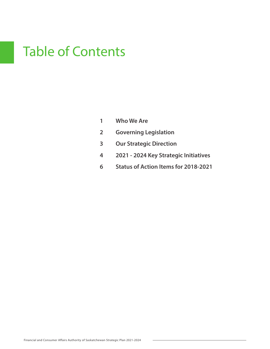# Table of Contents

| $\mathbf{1}$ | Who We Are                                  |
|--------------|---------------------------------------------|
| $\mathbf{2}$ | <b>Governing Legislation</b>                |
| 3            | <b>Our Strategic Direction</b>              |
| 4            | 2021 - 2024 Key Strategic Initiatives       |
| 6            | <b>Status of Action Items for 2018-2021</b> |
|              |                                             |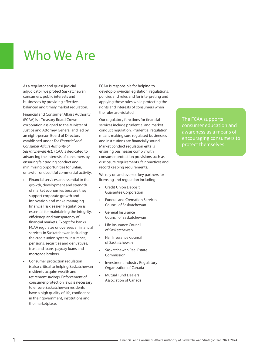# Who We Are

As a regulator and quasi-judicial adjudicator, we protect Saskatchewan consumers, public interests and businesses by providing effective, balanced and timely market regulation.

Financial and Consumer Affairs Authority (FCAA) is a Treasury Board Crown corporation assigned to the Minister of Justice and Attorney General and led by an eight-person Board of Directors established under *The Financial and Consumer Affairs Authority of Saskatchewan Act*. FCAA is dedicated to advancing the interests of consumers by ensuring fair trading conduct and minimizing opportunities for unfair, unlawful, or deceitful commercial activity.

- **•** Financial services are essential to the growth, development and strength of market economies because they support corporate growth and innovation and make managing financial risk easier. Regulation is essential for maintaining the integrity, efficiency, and transparency of financial markets. Except for banks, FCAA regulates or oversees all financial services in Saskatchewan including: the credit union system, insurance, pensions, securities and derivatives, trust and loans, payday loans and mortgage brokers.
- **•** Consumer protection regulation is also critical to helping Saskatchewan residents acquire wealth and retirement savings. Enforcement of consumer protection laws is necessary to ensure Saskatchewan residents have a high quality of life, confidence in their government, institutions and the marketplace.

FCAA is responsible for helping to develop provincial legislation, regulations, policies and rules and for interpreting and applying those rules while protecting the rights and interests of consumers when the rules are violated.

Our regulatory functions for financial services include prudential and market conduct regulation. Prudential regulation means making sure regulated businesses and institutions are financially sound. Market conduct regulation entails ensuring businesses comply with consumer protection provisions such as disclosure requirements, fair practices and record keeping requirements.

We rely on and oversee key partners for licensing and regulation including:

- **•** Credit Union Deposit Guarantee Corporation
- **•** Funeral and Cremation Services Council of Saskatchewan
- **•** General Insurance Council of Saskatchewan
- **•** Life Insurance Council of Saskatchewan
- **•** Hail Insurance Council of Saskatchewan
- **•** Saskatchewan Real Estate Commission
- **•** Investment Industry Regulatory Organization of Canada
- **•** Mutual Fund Dealers Association of Canada

### The FCAA supports consumer education and awareness as a means of encouraging consumers to protect themselves.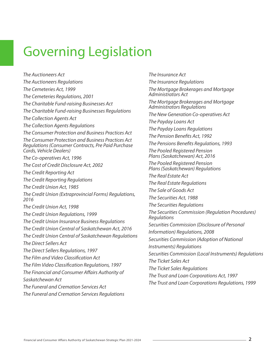# Governing Legislation

*The Auctioneers Act The Auctioneers Regulations The Cemeteries Act, 1999 The Cemeteries Regulations, 2001 The Charitable Fund-raising Businesses Act The Charitable Fund-raising Businesses Regulations The Collection Agents Act The Collection Agents Regulations The Consumer Protection and Business Practices Act The Consumer Protection and Business Practices Act Regulations (Consumer Contracts, Pre Paid Purchase Cards, Vehicle Dealers) The Co-operatives Act, 1996 The Cost of Credit Disclosure Act, 2002 The Credit Reporting Act The Credit Reporting Regulations The Credit Union Act, 1985 The Credit Union (Extraprovincial Forms) Regulations, 2016 The Credit Union Act, 1998 The Credit Union Regulations, 1999 The Credit Union Insurance Business Regulations The Credit Union Central of Saskatchewan Act, 2016 The Credit Union Central of Saskatchewan Regulations The Direct Sellers Act The Direct Sellers Regulations, 1997 The Film and Video Classification Act The Film Video Classification Regulations, 1997 The Financial and Consumer Affairs Authority of Saskatchewan Act The Funeral and Cremation Services Act The Funeral and Cremation Services Regulations*

*The Insurance Act*

*The Insurance Regulations*

*The Mortgage Brokerages and Mortgage Administrators Act* 

*The Mortgage Brokerages and Mortgage Administrators Regulations*

*The New Generation Co-operatives Act*

*The Payday Loans Act*

*The Payday Loans Regulations*

*The Pension Benefits Act, 1992*

*The Pensions Benefits Regulations, 1993*

*The Pooled Registered Pension Plans (Saskatchewan) Act, 2016*

*The Pooled Registered Pension Plans (Saskatchewan) Regulations*

*The Real Estate Act*

*The Real Estate Regulations*

*The Sale of Goods Act*

*The Securities Act, 1988*

*The Securities Regulations*

*The Securities Commission (Regulation Procedures) Regulations*

*Securities Commission (Disclosure of Personal* 

*Information) Regulations, 2008*

*Securities Commission (Adoption of National* 

*Instruments) Regulations* 

*Securities Commission (Local Instruments) Regulations*

*The Ticket Sales Act*

*The Ticket Sales Regulations*

*The Trust and Loan Corporations Act, 1997*

*The Trust and Loan Corporations Regulations, 1999*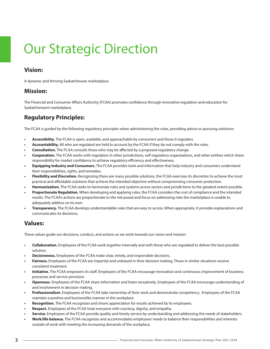# Our Strategic Direction

### **Vision:**

A dynamic and thriving Saskatchewan marketplace.

### **Mission:**

The Financial and Consumer Affairs Authority (FCAA) promotes confidence through innovative regulation and education for Saskatchewan's marketplace.

## **Regulatory Principles:**

The FCAA is guided by the following regulatory principles when administering the rules, providing advice or pursuing solutions:

- **• Accessibility.** The FCAA is open, available, and approachable by consumers and those it regulates.
- **• Accountability.** All who are regulated are held to account by the FCAA if they do not comply with the rules.
- **• Consultation.** The FCAA consults those who may be affected by a proposed regulatory change.
- **• Cooperation.** The FCAA works with regulators in other jurisdictions, self-regulatory organizations, and other entities which share responsibility for market confidence to achieve regulatory efficiency and effectiveness.
- **• Equipping Industry and Consumers.** The FCAA provides tools and information that help industry and consumers understand their responsibilities, rights, and remedies.
- **• Flexibility and Discretion.** Recognizing there are many possible solutions, the FCAA exercises its discretion to achieve the most practical and affordable solutions that achieve the intended objective without compromising consumer protection.
- **• Harmonization.** The FCAA seeks to harmonize rules and systems across sectors and jurisdictions to the greatest extent possible.
- **• Proportionate Regulation.** When developing and applying rules, the FCAA considers the cost of compliance and the intended results. The FCAA's actions are proportionate to the risk posed and focus on addressing risks the marketplace is unable to adequately address on its own.
- **• Transparency.** The FCAA develops understandable rules that are easy to access. When appropriate, it provides explanations and communicates its decisions.

### **Values:**

These values guide our decisions, conduct, and actions as we work towards our vision and mission:

- **• Collaboration.** Employees of the FCAA work together internally and with those who are regulated to deliver the best possible solution.
- **• Decisiveness.** Employees of the FCAA make clear, timely, and responsible decisions.
- **• Fairness.** Employees of the FCAA are impartial and unbiased in their decision making. Those in similar situations receive consistent treatment.
- **• Initiative.** The FCAA empowers its staff. Employees of the FCAA encourage innovation and continuous improvement of business processes and service provision.
- **• Openness.** Employees of the FCAA share information and listen receptively. Employees of the FCAA encourage understanding of and involvement in decision making.
- **• Professionalism.** Employees of the FCAA take ownership of their work and demonstrate competency. Employees of the FCAA maintain a positive and businesslike manner in the workplace.
- **• Recognition.** The FCAA recognizes and shows appreciation for results achieved by its employees.
- **• Respect.** Employees of the FCAA treat everyone with courtesy, dignity, and empathy.
- **• Service.** Employees of the FCAA provide quality and timely service by understanding and addressing the needs of stakeholders.
- **• Work/life balance.** The FCAA recognizes and accommodates employees' needs to balance their responsibilities and interests outside of work with meeting the increasing demands of the workplace.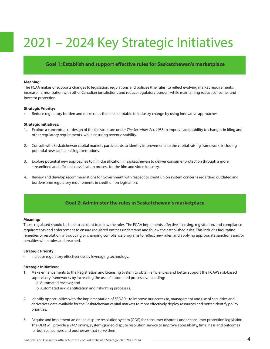# 2021 – 2024 Key Strategic Initiatives

### **Goal 1: Establish and support effective rules for Saskatchewan's marketplace**

#### **Meaning:**

The FCAA makes or supports changes to legislation, regulations and policies (the rules) to reflect evolving market requirements, increase harmonization with other Canadian jurisdictions and reduce regulatory burden, while maintaining robust consumer and investor protection.

#### **Strategic Priority:**

• Reduce regulatory burden and make rules that are adaptable to industry change by using innovative approaches.

#### **Strategic Initiatives:**

- 1. Explore a conceptual re-design of the fee structure under *The Securities Act, 1988* to improve adaptability to changes in filing and other regulatory requirements, while ensuring revenue stability.
- 2. Consult with Saskatchewan capital markets participants to identify improvements to the capital raising framework, including potential new capital raising exemptions.
- 3. Explore potential new approaches to film classification in Saskatchewan to deliver consumer protection through a more streamlined and efficient classification process for the film and video industry.
- 4. Review and develop recommendations for Government with respect to credit union system concerns regarding outdated and burdensome regulatory requirements in credit union legislation.

#### **Goal 2: Administer the rules in Saskatchewan's marketplace**

#### **Meaning:**

Those regulated should be held to account to follow the rules. The FCAA implements effective licensing, registration, and compliance requirements and enforcement to ensure regulated entities understand and follow the established rules. This includes facilitating remedies or resolution, introducing or changing compliance programs to reflect new rules, and applying appropriate sanctions and/or penalties when rules are breached.

#### **Strategic Priority:**

• Increase regulatory effectiveness by leveraging technology.

#### **Strategic Initiatives:**

- 1. Make enhancements to the Registration and Licensing System to obtain efficiencies and better support the FCAA's risk-based supervisory frameworks by increasing the use of automated processes, including:
	- a. Automated reviews; and
	- b. Automated risk identification and risk-rating processes.
- 2. Identify opportunities with the implementation of SEDAR+ to improve our access to, management and use of securities and derivatives data available for the Saskatchewan capital markets to more effectively deploy resources and better identify policy priorities.
- 3. Acquire and implement an online dispute resolution system (ODR) for consumer disputes under consumer protection legislation. The ODR will provide a 24/7 online, system-guided dispute resolution service to improve accessibility, timeliness and outcomes for both consumers and businesses that serve them.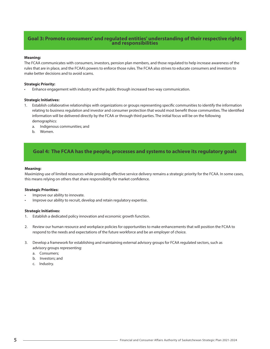# **Goal 3: Promote consumers' and regulated entities' understanding of their respective rights and responsibilities**

#### **Meaning:**

The FCAA communicates with consumers, investors, pension plan members, and those regulated to help increase awareness of the rules that are in place, and the FCAA's powers to enforce those rules. The FCAA also strives to educate consumers and investors to make better decisions and to avoid scams.

#### **Strategic Priority:**

• Enhance engagement with industry and the public through increased two-way communication.

#### **Strategic Initiatives:**

- 1. Establish collaborative relationships with organizations or groups representing specific communities to identify the information relating to business regulation and investor and consumer protection that would most benefit those communities. The identified information will be delivered directly by the FCAA or through third parties. The initial focus will be on the following demographics:
	- a. Indigenous communities; and
	- b. Women.

### **Goal 4: The FCAA has the people, processes and systems to achieve its regulatory goals**

#### **Meaning:**

Maximizing use of limited resources while providing effective service delivery remains a strategic priority for the FCAA. In some cases, this means relying on others that share responsibility for market confidence.

#### **Strategic Priorities:**

- Improve our ability to innovate.
- Improve our ability to recruit, develop and retain regulatory expertise.

#### **Strategic Initiatives:**

- 1. Establish a dedicated policy innovation and economic growth function.
- 2. Review our human resource and workplace policies for opportunities to make enhancements that will position the FCAA to respond to the needs and expectations of the future workforce and be an employer of choice.
- 3. Develop a framework for establishing and maintaining external advisory groups for FCAA regulated sectors, such as advisory groups representing:
	- a. Consumers;
	- b. Investors; and
	- c. Industry.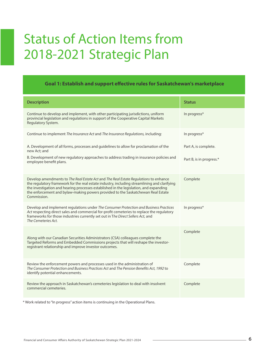# Status of Action Items from 2018-2021 Strategic Plan

### **Goal 1: Establish and support effective rules for Saskatchewan's marketplace**

| <b>Description</b>                                                                                                                                                                                                                                                                                                                                                               | <b>Status</b>            |
|----------------------------------------------------------------------------------------------------------------------------------------------------------------------------------------------------------------------------------------------------------------------------------------------------------------------------------------------------------------------------------|--------------------------|
| Continue to develop and implement, with other participating jurisdictions, uniform<br>provincial legislation and regulations in support of the Cooperative Capital Markets<br>Regulatory System.                                                                                                                                                                                 | In progress*             |
| Continue to implement The Insurance Act and The Insurance Regulations, including:                                                                                                                                                                                                                                                                                                | In progress*             |
| A. Development of all forms, processes and guidelines to allow for proclamation of the<br>new Act: and                                                                                                                                                                                                                                                                           | Part A, is complete.     |
| B. Development of new regulatory approaches to address trading in insurance policies and<br>employee benefit plans.                                                                                                                                                                                                                                                              | Part B, is in progress.* |
| Develop amendments to The Real Estate Act and The Real Estate Regulations to enhance<br>the regulatory framework for the real estate industry, including streamlining and clarifying<br>the investigation and hearing processes established in the legislation, and expanding<br>the enforcement and bylaw-making powers provided to the Saskatchewan Real Estate<br>Commission. | Complete                 |
| Develop and implement regulations under The Consumer Protection and Business Practices<br>Act respecting direct sales and commercial for-profit cemeteries to replace the regulatory<br>frameworks for those industries currently set out in The Direct Sellers Act, and<br>The Cemeteries Act.                                                                                  | In progress*             |
| Along with our Canadian Securities Administrators (CSA) colleagues complete the<br>Targeted Reforms and Embedded Commissions projects that will reshape the investor-<br>registrant relationship and improve investor outcomes.                                                                                                                                                  | Complete                 |
| Review the enforcement powers and processes used in the administration of<br>The Consumer Protection and Business Practices Act and The Pension Benefits Act, 1992 to<br>identify potential enhancements.                                                                                                                                                                        | Complete                 |
| Review the approach in Saskatchewan's cemeteries legislation to deal with insolvent<br>commercial cemeteries.                                                                                                                                                                                                                                                                    | Complete                 |

\* Work related to "In progress" action items is continuing in the Operational Plans.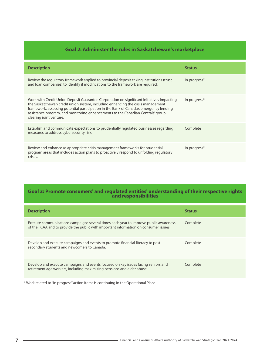| Goal 2: Administer the rules in Saskatchewan's marketplace |  |  |
|------------------------------------------------------------|--|--|
|                                                            |  |  |

| <b>Description</b>                                                                                                                                                                                                                                                                                                                                                                   | <b>Status</b> |
|--------------------------------------------------------------------------------------------------------------------------------------------------------------------------------------------------------------------------------------------------------------------------------------------------------------------------------------------------------------------------------------|---------------|
| Review the regulatory framework applied to provincial deposit-taking institutions (trust<br>and loan companies) to identify if modifications to the framework are required.                                                                                                                                                                                                          | In progress*  |
| Work with Credit Union Deposit Guarantee Corporation on significant initiatives impacting<br>the Saskatchewan credit union system, including enhancing the crisis management<br>framework, assessing potential participation in the Bank of Canada's emergency lending<br>assistance program, and monitoring enhancements to the Canadian Centrals' group<br>clearing joint venture. | In progress*  |
| Establish and communicate expectations to prudentially regulated businesses regarding<br>measures to address cybersecurity risk.                                                                                                                                                                                                                                                     | Complete      |
| Review and enhance as appropriate crisis management frameworks for prudential<br>program areas that includes action plans to proactively respond to unfolding regulatory<br>crises.                                                                                                                                                                                                  | In progress*  |

# **Goal 3: Promote consumers' and regulated entities' understanding of their respective rights and responsibilities**

| <b>Description</b>                                                                                                                                                           | <b>Status</b> |
|------------------------------------------------------------------------------------------------------------------------------------------------------------------------------|---------------|
| Execute communications campaigns several times each year to improve public awareness<br>of the FCAA and to provide the public with important information on consumer issues. | Complete      |
| Develop and execute campaigns and events to promote financial literacy to post-<br>secondary students and newcomers to Canada.                                               | Complete      |
| Develop and execute campaigns and events focused on key issues facing seniors and<br>retirement age workers, including maximizing pensions and elder abuse.                  | Complete      |

\* Work related to "In progress" action items is continuing in the Operational Plans.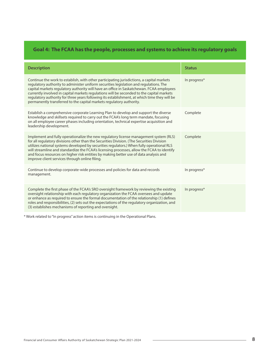## **Goal 4: The FCAA has the people, processes and systems to achieve its regulatory goals**

| <b>Description</b>                                                                                                                                                                                                                                                                                                                                                                                                                                                                                                                                   | <b>Status</b> |
|------------------------------------------------------------------------------------------------------------------------------------------------------------------------------------------------------------------------------------------------------------------------------------------------------------------------------------------------------------------------------------------------------------------------------------------------------------------------------------------------------------------------------------------------------|---------------|
| Continue the work to establish, with other participating jurisdictions, a capital markets<br>regulatory authority to administer uniform securities legislation and regulations. The<br>capital markets regulatory authority will have an office in Saskatchewan. FCAA employees<br>currently involved in capital markets regulations will be seconded to the capital markets<br>regulatory authority for three years following its establishment, at which time they will be<br>permanently transferred to the capital markets regulatory authority. | In progress*  |
| Establish a comprehensive corporate Learning Plan to develop and support the diverse<br>knowledge and skillsets required to carry out the FCAA's long term mandate, focusing<br>on all employee career phases including orientation, technical expertise acquisition and<br>leadership development.                                                                                                                                                                                                                                                  | Complete      |
| Implement and fully operationalize the new regulatory license management system (RLS)<br>for all regulatory divisions other than the Securities Division. (The Securities Division<br>utilizes national systems developed by securities regulators.) When fully operational RLS<br>will streamline and standardize the FCAA's licensing processes, allow the FCAA to identify<br>and focus resources on higher risk entities by making better use of data analysis and<br>improve client services through online filing.                             | Complete      |
| Continue to develop corporate-wide processes and policies for data and records<br>management.                                                                                                                                                                                                                                                                                                                                                                                                                                                        | In progress*  |
| Complete the first phase of the FCAA's SRO oversight framework by reviewing the existing<br>oversight relationship with each regulatory organization the FCAA oversees and update<br>or enhance as required to ensure the formal documentation of the relationship (1) defines<br>roles and responsibilities, (2) sets out the expectations of the regulatory organization, and<br>(3) establishes mechanisms of reporting and oversight.                                                                                                            | In progress*  |

\* Work related to "In progress" action items is continuing in the Operational Plans.